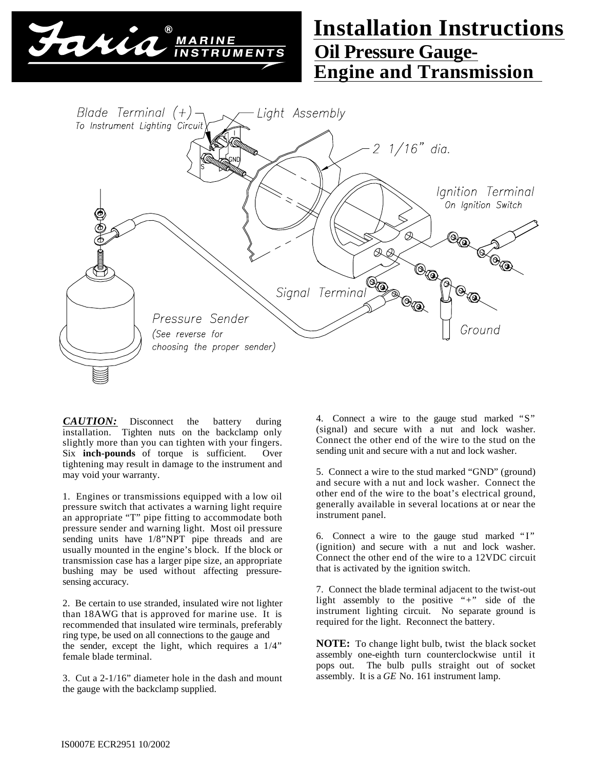

## **Oil Pressure Gauge-Engine and Transmission Installation Instructions**



*CAUTION:* Disconnect the battery during installation. Tighten nuts on the backclamp only slightly more than you can tighten with your fingers. Six **inch-pounds** of torque is sufficient. Over tightening may result in damage to the instrument and may void your warranty.

1. Engines or transmissions equipped with a low oil pressure switch that activates a warning light require an appropriate "T" pipe fitting to accommodate both pressure sender and warning light. Most oil pressure sending units have 1/8"NPT pipe threads and are usually mounted in the engine's block. If the block or transmission case has a larger pipe size, an appropriate bushing may be used without affecting pressuresensing accuracy.

2. Be certain to use stranded, insulated wire not lighter than 18AWG that is approved for marine use. It is recommended that insulated wire terminals, preferably ring type, be used on all connections to the gauge and the sender, except the light, which requires a 1/4" female blade terminal.

3. Cut a 2-1/16" diameter hole in the dash and mount the gauge with the backclamp supplied.

4. Connect a wire to the gauge stud marked "S" (signal) and secure with a nut and lock washer. Connect the other end of the wire to the stud on the sending unit and secure with a nut and lock washer.

5. Connect a wire to the stud marked "GND" (ground) and secure with a nut and lock washer. Connect the other end of the wire to the boat's electrical ground, generally available in several locations at or near the instrument panel.

6. Connect a wire to the gauge stud marked " $I$ " (ignition) and secure with a nut and lock washer. Connect the other end of the wire to a 12VDC circuit that is activated by the ignition switch.

7. Connect the blade terminal adjacent to the twist-out light assembly to the positive "+" side of the instrument lighting circuit. No separate ground is required for the light. Reconnect the battery.

**NOTE:** To change light bulb, twist the black socket assembly one-eighth turn counterclockwise until it pops out. The bulb pulls straight out of socket assembly. It is a *GE* No. 161 instrument lamp.